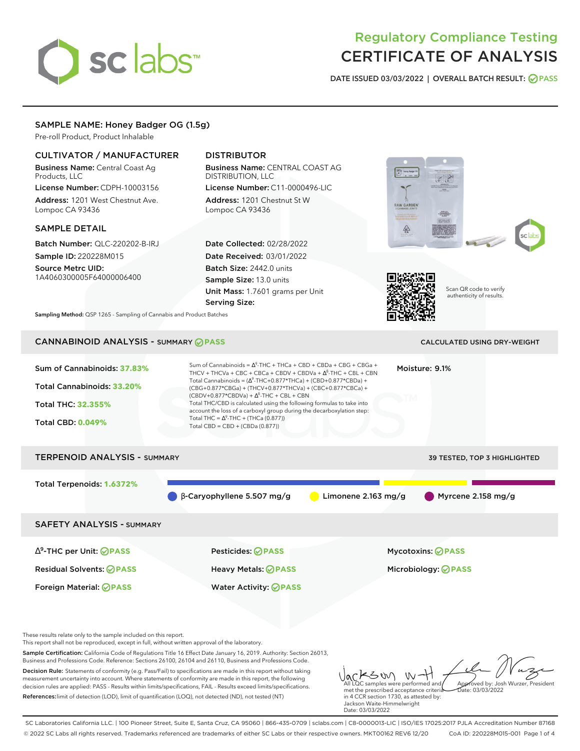# sclabs<sup>\*</sup>

# Regulatory Compliance Testing CERTIFICATE OF ANALYSIS

**DATE ISSUED 03/03/2022 | OVERALL BATCH RESULT: PASS**

# SAMPLE NAME: Honey Badger OG (1.5g)

Pre-roll Product, Product Inhalable

# CULTIVATOR / MANUFACTURER

Business Name: Central Coast Ag Products, LLC

License Number: CDPH-10003156 Address: 1201 West Chestnut Ave. Lompoc CA 93436

#### SAMPLE DETAIL

Batch Number: QLC-220202-B-IRJ Sample ID: 220228M015

Source Metrc UID: 1A4060300005F64000006400

# DISTRIBUTOR

Business Name: CENTRAL COAST AG DISTRIBUTION, LLC

License Number: C11-0000496-LIC Address: 1201 Chestnut St W Lompoc CA 93436

Date Collected: 02/28/2022 Date Received: 03/01/2022 Batch Size: 2442.0 units Sample Size: 13.0 units Unit Mass: 1.7601 grams per Unit Serving Size:





Scan QR code to verify authenticity of results.

**Sampling Method:** QSP 1265 - Sampling of Cannabis and Product Batches

# CANNABINOID ANALYSIS - SUMMARY **PASS** CALCULATED USING DRY-WEIGHT

| Sum of Cannabinoids: 37.83%<br>Total Cannabinoids: 33.20%<br>Total THC: 32.355%<br><b>Total CBD: 0.049%</b> | Sum of Cannabinoids = $\Delta^9$ -THC + THCa + CBD + CBDa + CBG + CBGa +<br>Moisture: 9.1%<br>THCV + THCVa + CBC + CBCa + CBDV + CBDVa + $\Delta^8$ -THC + CBL + CBN<br>Total Cannabinoids = $(\Delta^9$ -THC+0.877*THCa) + (CBD+0.877*CBDa) +<br>(CBG+0.877*CBGa) + (THCV+0.877*THCVa) + (CBC+0.877*CBCa) +<br>$(CBDV+0.877*CBDVa) + \Delta^8$ -THC + CBL + CBN<br>Total THC/CBD is calculated using the following formulas to take into<br>account the loss of a carboxyl group during the decarboxylation step:<br>Total THC = $\Delta^9$ -THC + (THCa (0.877))<br>Total CBD = $CBD + (CBDa (0.877))$ |                     |                              |  |
|-------------------------------------------------------------------------------------------------------------|----------------------------------------------------------------------------------------------------------------------------------------------------------------------------------------------------------------------------------------------------------------------------------------------------------------------------------------------------------------------------------------------------------------------------------------------------------------------------------------------------------------------------------------------------------------------------------------------------------|---------------------|------------------------------|--|
| <b>TERPENOID ANALYSIS - SUMMARY</b>                                                                         |                                                                                                                                                                                                                                                                                                                                                                                                                                                                                                                                                                                                          |                     | 39 TESTED, TOP 3 HIGHLIGHTED |  |
| Total Terpenoids: 1.6372%                                                                                   | $\beta$ -Caryophyllene 5.507 mg/g                                                                                                                                                                                                                                                                                                                                                                                                                                                                                                                                                                        | Limonene 2.163 mg/g | Myrcene 2.158 mg/g           |  |
| <b>SAFETY ANALYSIS - SUMMARY</b>                                                                            |                                                                                                                                                                                                                                                                                                                                                                                                                                                                                                                                                                                                          |                     |                              |  |
| $\Delta^9$ -THC per Unit: <b>PASS</b>                                                                       | Pesticides: ⊘PASS                                                                                                                                                                                                                                                                                                                                                                                                                                                                                                                                                                                        |                     | <b>Mycotoxins: ⊘PASS</b>     |  |
| <b>Residual Solvents: ⊘PASS</b>                                                                             | Heavy Metals: <b>OPASS</b>                                                                                                                                                                                                                                                                                                                                                                                                                                                                                                                                                                               |                     | Microbiology: <b>OPASS</b>   |  |
| Foreign Material: <b>⊘ PASS</b>                                                                             | <b>Water Activity: ⊘PASS</b>                                                                                                                                                                                                                                                                                                                                                                                                                                                                                                                                                                             |                     |                              |  |

These results relate only to the sample included on this report.

This report shall not be reproduced, except in full, without written approval of the laboratory.

Sample Certification: California Code of Regulations Title 16 Effect Date January 16, 2019. Authority: Section 26013, Business and Professions Code. Reference: Sections 26100, 26104 and 26110, Business and Professions Code.

Decision Rule: Statements of conformity (e.g. Pass/Fail) to specifications are made in this report without taking measurement uncertainty into account. Where statements of conformity are made in this report, the following decision rules are applied: PASS - Results within limits/specifications, FAIL - Results exceed limits/specifications. References:limit of detection (LOD), limit of quantification (LOQ), not detected (ND), not tested (NT)

Jacks W W-H met the prescribed acceptance criteria in 4 CCR section 1730, as attested by: Jackson Waite-Himmelwright Approved by: Josh Wurzer, President Date: 03/03/2022

SC Laboratories California LLC. | 100 Pioneer Street, Suite E, Santa Cruz, CA 95060 | 866-435-0709 | sclabs.com | C8-0000013-LIC | ISO/IES 17025:2017 PJLA Accreditation Number 87168 © 2022 SC Labs all rights reserved. Trademarks referenced are trademarks of either SC Labs or their respective owners. MKT00162 REV6 12/20 CoA ID: 220228M015-001 Page 1 of 4

Date: 03/03/2022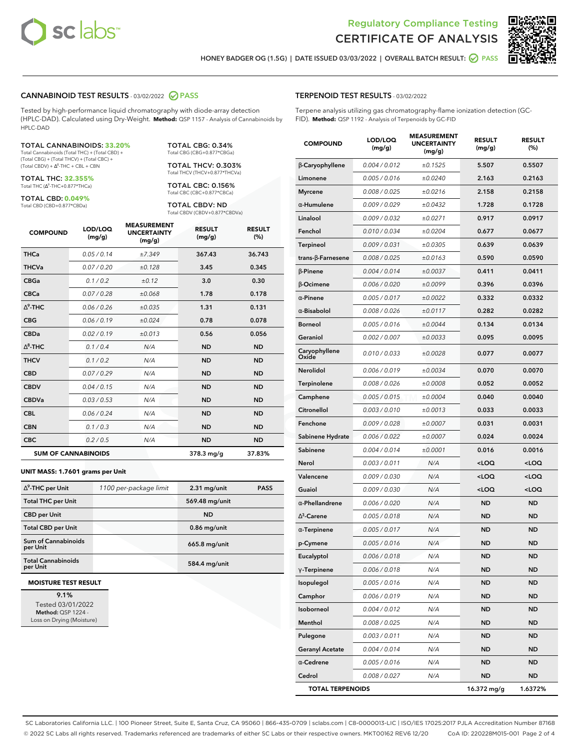



**HONEY BADGER OG (1.5G) | DATE ISSUED 03/03/2022 | OVERALL BATCH RESULT: PASS**

#### **CANNABINOID TEST RESULTS** - 03/02/2022 **PASS**

Tested by high-performance liquid chromatography with diode-array detection (HPLC-DAD). Calculated using Dry-Weight. **Method:** QSP 1157 - Analysis of Cannabinoids by HPLC-DAD

#### TOTAL CANNABINOIDS: **33.20%**

Total Cannabinoids (Total THC) + (Total CBD) + (Total CBG) + (Total THCV) + (Total CBC) +  $(Total CBDV) +  $\Delta^8$ -THC + CBL + CBN$ 

TOTAL THC: **32.355%** Total THC (Δ<sup>9</sup>-THC+0.877\*THCa)

TOTAL CBD: **0.049%** Total CBD (CBD+0.877\*CBDa)

TOTAL CBG: 0.34% Total CBG (CBG+0.877\*CBGa)

TOTAL THCV: 0.303% Total THCV (THCV+0.877\*THCVa)

TOTAL CBC: 0.156% Total CBC (CBC+0.877\*CBCa)

TOTAL CBDV: ND Total CBDV (CBDV+0.877\*CBDVa)

| <b>COMPOUND</b> | LOD/LOQ<br>(mg/g)          | <b>MEASUREMENT</b><br><b>UNCERTAINTY</b><br>(mg/g) | <b>RESULT</b><br>(mg/g) | <b>RESULT</b><br>(%) |
|-----------------|----------------------------|----------------------------------------------------|-------------------------|----------------------|
| <b>THCa</b>     | 0.05/0.14                  | ±7.349                                             | 367.43                  | 36.743               |
| <b>THCVa</b>    | 0.07 / 0.20                | ±0.128                                             | 3.45                    | 0.345                |
| <b>CBGa</b>     | 0.1/0.2                    | ±0.12                                              | 3.0                     | 0.30                 |
| <b>CBCa</b>     | 0.07/0.28                  | ±0.068                                             | 1.78                    | 0.178                |
| $\Delta^9$ -THC | 0.06/0.26                  | ±0.035                                             | 1.31                    | 0.131                |
| <b>CBG</b>      | 0.06 / 0.19                | ±0.024                                             | 0.78                    | 0.078                |
| <b>CBDa</b>     | 0.02/0.19                  | ±0.013                                             | 0.56                    | 0.056                |
| $\wedge^8$ -THC | 0.1/0.4                    | N/A                                                | <b>ND</b>               | <b>ND</b>            |
| <b>THCV</b>     | 0.1/0.2                    | N/A                                                | <b>ND</b>               | <b>ND</b>            |
| <b>CBD</b>      | 0.07/0.29                  | N/A                                                | <b>ND</b>               | <b>ND</b>            |
| <b>CBDV</b>     | 0.04 / 0.15                | N/A                                                | <b>ND</b>               | <b>ND</b>            |
| <b>CBDVa</b>    | 0.03/0.53                  | N/A                                                | <b>ND</b>               | <b>ND</b>            |
| <b>CBL</b>      | 0.06 / 0.24                | N/A                                                | <b>ND</b>               | <b>ND</b>            |
| <b>CBN</b>      | 0.1 / 0.3                  | N/A                                                | <b>ND</b>               | <b>ND</b>            |
| <b>CBC</b>      | 0.2 / 0.5                  | N/A                                                | <b>ND</b>               | <b>ND</b>            |
|                 | <b>SUM OF CANNABINOIDS</b> |                                                    | $378.3 \,\mathrm{mg/g}$ | 37.83%               |

#### **UNIT MASS: 1.7601 grams per Unit**

| $\Delta^9$ -THC per Unit              | 1100 per-package limit | $2.31$ mg/unit | <b>PASS</b> |
|---------------------------------------|------------------------|----------------|-------------|
| <b>Total THC per Unit</b>             |                        | 569.48 mg/unit |             |
| <b>CBD per Unit</b>                   |                        | <b>ND</b>      |             |
| <b>Total CBD per Unit</b>             |                        | $0.86$ mg/unit |             |
| Sum of Cannabinoids<br>per Unit       |                        | 665.8 mg/unit  |             |
| <b>Total Cannabinoids</b><br>per Unit |                        | 584.4 mg/unit  |             |

#### **MOISTURE TEST RESULT**

**9.1%** Tested 03/01/2022 **Method:** QSP 1224 - Loss on Drying (Moisture)

#### **TERPENOID TEST RESULTS** - 03/02/2022

Terpene analysis utilizing gas chromatography-flame ionization detection (GC-FID). **Method:** QSP 1192 - Analysis of Terpenoids by GC-FID

| <b>COMPOUND</b>         | LOD/LOQ<br>(mg/g) | <b>MEASUREMENT</b><br><b>UNCERTAINTY</b><br>(mg/g) | <b>RESULT</b><br>(mg/g)                         | <b>RESULT</b><br>$(\%)$ |
|-------------------------|-------------------|----------------------------------------------------|-------------------------------------------------|-------------------------|
| β-Caryophyllene         | 0.004 / 0.012     | ±0.1525                                            | 5.507                                           | 0.5507                  |
| Limonene                | 0.005 / 0.016     | ±0.0240                                            | 2.163                                           | 0.2163                  |
| <b>Myrcene</b>          | 0.008 / 0.025     | ±0.0216                                            | 2.158                                           | 0.2158                  |
| α-Humulene              | 0.009 / 0.029     | ±0.0432                                            | 1.728                                           | 0.1728                  |
| Linalool                | 0.009 / 0.032     | ±0.0271                                            | 0.917                                           | 0.0917                  |
| Fenchol                 | 0.010 / 0.034     | ±0.0204                                            | 0.677                                           | 0.0677                  |
| Terpineol               | 0.009 / 0.031     | ±0.0305                                            | 0.639                                           | 0.0639                  |
| trans-ß-Farnesene       | 0.008 / 0.025     | ±0.0163                                            | 0.590                                           | 0.0590                  |
| $\beta$ -Pinene         | 0.004 / 0.014     | ±0.0037                                            | 0.411                                           | 0.0411                  |
| β-Ocimene               | 0.006 / 0.020     | ±0.0099                                            | 0.396                                           | 0.0396                  |
| $\alpha$ -Pinene        | 0.005 / 0.017     | ±0.0022                                            | 0.332                                           | 0.0332                  |
| $\alpha$ -Bisabolol     | 0.008 / 0.026     | ±0.0117                                            | 0.282                                           | 0.0282                  |
| <b>Borneol</b>          | 0.005 / 0.016     | ±0.0044                                            | 0.134                                           | 0.0134                  |
| Geraniol                | 0.002 / 0.007     | ±0.0033                                            | 0.095                                           | 0.0095                  |
| Caryophyllene<br>Oxide  | 0.010 / 0.033     | ±0.0028                                            | 0.077                                           | 0.0077                  |
| <b>Nerolidol</b>        | 0.006 / 0.019     | ±0.0034                                            | 0.070                                           | 0.0070                  |
| <b>Terpinolene</b>      | 0.008 / 0.026     | ±0.0008                                            | 0.052                                           | 0.0052                  |
| Camphene                | 0.005 / 0.015     | ±0.0004                                            | 0.040                                           | 0.0040                  |
| Citronellol             | 0.003 / 0.010     | ±0.0013                                            | 0.033                                           | 0.0033                  |
| Fenchone                | 0.009 / 0.028     | ±0.0007                                            | 0.031                                           | 0.0031                  |
| Sabinene Hydrate        | 0.006 / 0.022     | ±0.0007                                            | 0.024                                           | 0.0024                  |
| Sabinene                | 0.004 / 0.014     | ±0.0001                                            | 0.016                                           | 0.0016                  |
| Nerol                   | 0.003 / 0.011     | N/A                                                | <loq< th=""><th><loq< th=""></loq<></th></loq<> | <loq< th=""></loq<>     |
| Valencene               | 0.009 / 0.030     | N/A                                                | <loq< th=""><th><loq< th=""></loq<></th></loq<> | <loq< th=""></loq<>     |
| Guaiol                  | 0.009 / 0.030     | N/A                                                | <loq< th=""><th><loq< th=""></loq<></th></loq<> | <loq< th=""></loq<>     |
| $\alpha$ -Phellandrene  | 0.006 / 0.020     | N/A                                                | <b>ND</b>                                       | <b>ND</b>               |
| $\Delta^3$ -Carene      | 0.005 / 0.018     | N/A                                                | ND                                              | <b>ND</b>               |
| $\alpha$ -Terpinene     | 0.005 / 0.017     | N/A                                                | <b>ND</b>                                       | <b>ND</b>               |
| p-Cymene                | 0.005 / 0.016     | N/A                                                | ND                                              | <b>ND</b>               |
| Eucalyptol              | 0.006 / 0.018     | N/A                                                | <b>ND</b>                                       | <b>ND</b>               |
| $\gamma$ -Terpinene     | 0.006 / 0.018     | N/A                                                | ND                                              | <b>ND</b>               |
| Isopulegol              | 0.005 / 0.016     | N/A                                                | ND                                              | ND                      |
| Camphor                 | 0.006 / 0.019     | N/A                                                | ND                                              | <b>ND</b>               |
| Isoborneol              | 0.004 / 0.012     | N/A                                                | ND                                              | <b>ND</b>               |
| Menthol                 | 0.008 / 0.025     | N/A                                                | ND                                              | ND                      |
| Pulegone                | 0.003 / 0.011     | N/A                                                | ND                                              | ND                      |
| <b>Geranyl Acetate</b>  | 0.004 / 0.014     | N/A                                                | ND                                              | ND                      |
| $\alpha$ -Cedrene       | 0.005 / 0.016     | N/A                                                | ND                                              | ND                      |
| Cedrol                  | 0.008 / 0.027     | N/A                                                | ND                                              | <b>ND</b>               |
| <b>TOTAL TERPENOIDS</b> |                   |                                                    | 16.372 mg/g                                     | 1.6372%                 |

SC Laboratories California LLC. | 100 Pioneer Street, Suite E, Santa Cruz, CA 95060 | 866-435-0709 | sclabs.com | C8-0000013-LIC | ISO/IES 17025:2017 PJLA Accreditation Number 87168 © 2022 SC Labs all rights reserved. Trademarks referenced are trademarks of either SC Labs or their respective owners. MKT00162 REV6 12/20 CoA ID: 220228M015-001 Page 2 of 4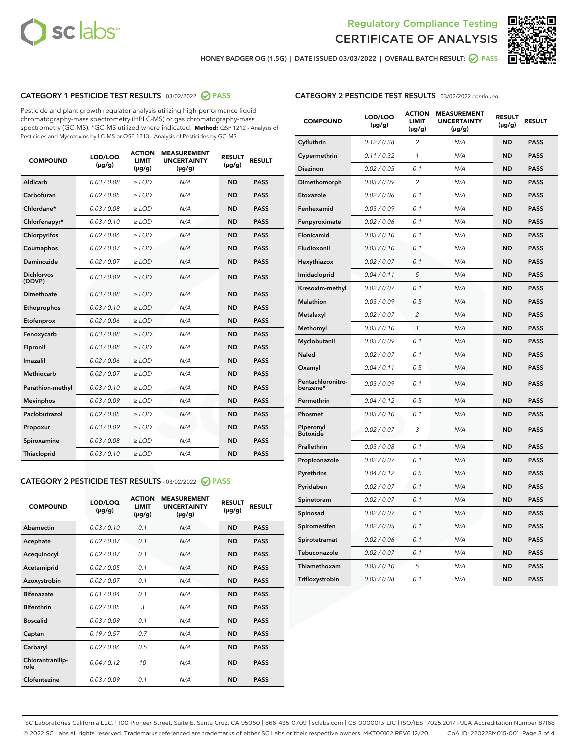



**HONEY BADGER OG (1.5G) | DATE ISSUED 03/03/2022 | OVERALL BATCH RESULT: PASS**

# **CATEGORY 1 PESTICIDE TEST RESULTS** - 03/02/2022 **PASS**

Pesticide and plant growth regulator analysis utilizing high-performance liquid chromatography-mass spectrometry (HPLC-MS) or gas chromatography-mass spectrometry (GC-MS). \*GC-MS utilized where indicated. **Method:** QSP 1212 - Analysis of Pesticides and Mycotoxins by LC-MS or QSP 1213 - Analysis of Pesticides by GC-MS

| <b>COMPOUND</b>             | LOD/LOQ<br>$(\mu g/g)$ | <b>ACTION</b><br><b>LIMIT</b><br>$(\mu g/g)$ | <b>MEASUREMENT</b><br><b>UNCERTAINTY</b><br>$(\mu g/g)$ | <b>RESULT</b><br>$(\mu g/g)$ | <b>RESULT</b> |
|-----------------------------|------------------------|----------------------------------------------|---------------------------------------------------------|------------------------------|---------------|
| Aldicarb                    | 0.03 / 0.08            | $>$ LOD                                      | N/A                                                     | <b>ND</b>                    | <b>PASS</b>   |
| Carbofuran                  | 0.02 / 0.05            | ≥ LOD                                        | N/A                                                     | <b>ND</b>                    | <b>PASS</b>   |
| Chlordane*                  | 0.03/0.08              | $>$ LOD                                      | N/A                                                     | <b>ND</b>                    | <b>PASS</b>   |
| Chlorfenapyr*               | 0.03/0.10              | $>$ LOD                                      | N/A                                                     | <b>ND</b>                    | <b>PASS</b>   |
| Chlorpyrifos                | 0.02/0.06              | $>$ LOD                                      | N/A                                                     | <b>ND</b>                    | <b>PASS</b>   |
| Coumaphos                   | 0.02 / 0.07            | $>$ LOD                                      | N/A                                                     | <b>ND</b>                    | <b>PASS</b>   |
| <b>Daminozide</b>           | 0.02 / 0.07            | $\ge$ LOD                                    | N/A                                                     | <b>ND</b>                    | <b>PASS</b>   |
| <b>Dichlorvos</b><br>(DDVP) | 0.03/0.09              | $>$ LOD                                      | N/A                                                     | <b>ND</b>                    | <b>PASS</b>   |
| Dimethoate                  | 0.03 / 0.08            | $>$ LOD                                      | N/A                                                     | <b>ND</b>                    | <b>PASS</b>   |
| Ethoprophos                 | 0.03/0.10              | $>$ LOD                                      | N/A                                                     | <b>ND</b>                    | <b>PASS</b>   |
| Etofenprox                  | 0.02 / 0.06            | $\geq$ LOD                                   | N/A                                                     | <b>ND</b>                    | <b>PASS</b>   |
| Fenoxycarb                  | 0.03/0.08              | $>$ LOD                                      | N/A                                                     | <b>ND</b>                    | <b>PASS</b>   |
| Fipronil                    | 0.03 / 0.08            | $\geq$ LOD                                   | N/A                                                     | <b>ND</b>                    | <b>PASS</b>   |
| Imazalil                    | 0.02 / 0.06            | $\ge$ LOD                                    | N/A                                                     | <b>ND</b>                    | <b>PASS</b>   |
| <b>Methiocarb</b>           | 0.02 / 0.07            | $\ge$ LOD                                    | N/A                                                     | <b>ND</b>                    | <b>PASS</b>   |
| Parathion-methyl            | 0.03/0.10              | $\geq$ LOD                                   | N/A                                                     | <b>ND</b>                    | <b>PASS</b>   |
| <b>Mevinphos</b>            | 0.03/0.09              | $\ge$ LOD                                    | N/A                                                     | <b>ND</b>                    | <b>PASS</b>   |
| Paclobutrazol               | 0.02 / 0.05            | $\ge$ LOD                                    | N/A                                                     | <b>ND</b>                    | <b>PASS</b>   |
| Propoxur                    | 0.03/0.09              | $\geq$ LOD                                   | N/A                                                     | <b>ND</b>                    | <b>PASS</b>   |
| Spiroxamine                 | 0.03 / 0.08            | $\ge$ LOD                                    | N/A                                                     | <b>ND</b>                    | <b>PASS</b>   |
| Thiacloprid                 | 0.03/0.10              | $>$ LOD                                      | N/A                                                     | <b>ND</b>                    | <b>PASS</b>   |

# **CATEGORY 2 PESTICIDE TEST RESULTS** - 03/02/2022 **PASS**

| <b>COMPOUND</b>          | LOD/LOO<br>$(\mu g/g)$ | <b>ACTION</b><br><b>LIMIT</b><br>$(\mu g/g)$ | <b>MEASUREMENT</b><br><b>UNCERTAINTY</b><br>$(\mu g/g)$ | <b>RESULT</b><br>$(\mu g/g)$ | <b>RESULT</b> |
|--------------------------|------------------------|----------------------------------------------|---------------------------------------------------------|------------------------------|---------------|
| Abamectin                | 0.03/0.10              | 0.1                                          | N/A                                                     | <b>ND</b>                    | <b>PASS</b>   |
| Acephate                 | 0.02/0.07              | 0.1                                          | N/A                                                     | <b>ND</b>                    | <b>PASS</b>   |
| Acequinocyl              | 0.02/0.07              | 0.1                                          | N/A                                                     | <b>ND</b>                    | <b>PASS</b>   |
| Acetamiprid              | 0.02/0.05              | 0.1                                          | N/A                                                     | <b>ND</b>                    | <b>PASS</b>   |
| Azoxystrobin             | 0.02 / 0.07            | 0.1                                          | N/A                                                     | <b>ND</b>                    | <b>PASS</b>   |
| <b>Bifenazate</b>        | 0.01/0.04              | 0.1                                          | N/A                                                     | <b>ND</b>                    | <b>PASS</b>   |
| <b>Bifenthrin</b>        | 0.02/0.05              | 3                                            | N/A                                                     | <b>ND</b>                    | <b>PASS</b>   |
| <b>Boscalid</b>          | 0.03/0.09              | 0.1                                          | N/A                                                     | <b>ND</b>                    | <b>PASS</b>   |
| Captan                   | 0.19/0.57              | 0.7                                          | N/A                                                     | <b>ND</b>                    | <b>PASS</b>   |
| Carbaryl                 | 0.02/0.06              | 0.5                                          | N/A                                                     | <b>ND</b>                    | <b>PASS</b>   |
| Chlorantranilip-<br>role | 0.04/0.12              | 10                                           | N/A                                                     | <b>ND</b>                    | <b>PASS</b>   |
| Clofentezine             | 0.03/0.09              | 0.1                                          | N/A                                                     | <b>ND</b>                    | <b>PASS</b>   |

## **CATEGORY 2 PESTICIDE TEST RESULTS** - 03/02/2022 continued

| <b>COMPOUND</b>               | LOD/LOQ<br>$(\mu g/g)$ | <b>ACTION</b><br>LIMIT<br>(µg/g) | <b>MEASUREMENT</b><br><b>UNCERTAINTY</b><br>$(\mu g/g)$ | <b>RESULT</b><br>$(\mu g/g)$ | <b>RESULT</b> |
|-------------------------------|------------------------|----------------------------------|---------------------------------------------------------|------------------------------|---------------|
| Cyfluthrin                    | 0.12 / 0.38            | $\overline{2}$                   | N/A                                                     | <b>ND</b>                    | <b>PASS</b>   |
| Cypermethrin                  | 0.11 / 0.32            | 1                                | N/A                                                     | <b>ND</b>                    | <b>PASS</b>   |
| Diazinon                      | 0.02 / 0.05            | 0.1                              | N/A                                                     | <b>ND</b>                    | <b>PASS</b>   |
| Dimethomorph                  | 0.03 / 0.09            | $\overline{2}$                   | N/A                                                     | ND                           | <b>PASS</b>   |
| Etoxazole                     | 0.02 / 0.06            | 0.1                              | N/A                                                     | <b>ND</b>                    | <b>PASS</b>   |
| Fenhexamid                    | 0.03 / 0.09            | 0.1                              | N/A                                                     | ND                           | <b>PASS</b>   |
| Fenpyroximate                 | 0.02 / 0.06            | 0.1                              | N/A                                                     | <b>ND</b>                    | <b>PASS</b>   |
| Flonicamid                    | 0.03 / 0.10            | 0.1                              | N/A                                                     | ND                           | <b>PASS</b>   |
| Fludioxonil                   | 0.03 / 0.10            | 0.1                              | N/A                                                     | <b>ND</b>                    | <b>PASS</b>   |
| Hexythiazox                   | 0.02 / 0.07            | 0.1                              | N/A                                                     | <b>ND</b>                    | <b>PASS</b>   |
| Imidacloprid                  | 0.04 / 0.11            | 5                                | N/A                                                     | ND                           | <b>PASS</b>   |
| Kresoxim-methyl               | 0.02 / 0.07            | 0.1                              | N/A                                                     | <b>ND</b>                    | <b>PASS</b>   |
| Malathion                     | 0.03 / 0.09            | 0.5                              | N/A                                                     | <b>ND</b>                    | <b>PASS</b>   |
| Metalaxyl                     | 0.02 / 0.07            | $\overline{c}$                   | N/A                                                     | ND                           | <b>PASS</b>   |
| Methomyl                      | 0.03 / 0.10            | 1                                | N/A                                                     | ND                           | <b>PASS</b>   |
| Myclobutanil                  | 0.03 / 0.09            | 0.1                              | N/A                                                     | <b>ND</b>                    | <b>PASS</b>   |
| Naled                         | 0.02 / 0.07            | 0.1                              | N/A                                                     | ND                           | <b>PASS</b>   |
| Oxamyl                        | 0.04 / 0.11            | 0.5                              | N/A                                                     | ND                           | <b>PASS</b>   |
| Pentachloronitro-<br>benzene* | 0.03 / 0.09            | 0.1                              | N/A                                                     | ND                           | <b>PASS</b>   |
| Permethrin                    | 0.04/0.12              | 0.5                              | N/A                                                     | <b>ND</b>                    | <b>PASS</b>   |
| Phosmet                       | 0.03 / 0.10            | 0.1                              | N/A                                                     | ND                           | <b>PASS</b>   |
| Piperonyl<br><b>Butoxide</b>  | 0.02 / 0.07            | 3                                | N/A                                                     | <b>ND</b>                    | <b>PASS</b>   |
| Prallethrin                   | 0.03 / 0.08            | 0.1                              | N/A                                                     | <b>ND</b>                    | <b>PASS</b>   |
| Propiconazole                 | 0.02 / 0.07            | 0.1                              | N/A                                                     | ND                           | <b>PASS</b>   |
| Pyrethrins                    | 0.04 / 0.12            | 0.5                              | N/A                                                     | ND                           | <b>PASS</b>   |
| Pyridaben                     | 0.02 / 0.07            | 0.1                              | N/A                                                     | ND                           | <b>PASS</b>   |
| Spinetoram                    | 0.02 / 0.07            | 0.1                              | N/A                                                     | <b>ND</b>                    | <b>PASS</b>   |
| Spinosad                      | 0.02 / 0.07            | 0.1                              | N/A                                                     | <b>ND</b>                    | <b>PASS</b>   |
| Spiromesifen                  | 0.02 / 0.05            | 0.1                              | N/A                                                     | <b>ND</b>                    | <b>PASS</b>   |
| Spirotetramat                 | 0.02 / 0.06            | 0.1                              | N/A                                                     | ND                           | <b>PASS</b>   |
| Tebuconazole                  | 0.02 / 0.07            | 0.1                              | N/A                                                     | <b>ND</b>                    | <b>PASS</b>   |
| Thiamethoxam                  | 0.03 / 0.10            | 5                                | N/A                                                     | ND                           | <b>PASS</b>   |
| Trifloxystrobin               | 0.03 / 0.08            | 0.1                              | N/A                                                     | ND                           | <b>PASS</b>   |

SC Laboratories California LLC. | 100 Pioneer Street, Suite E, Santa Cruz, CA 95060 | 866-435-0709 | sclabs.com | C8-0000013-LIC | ISO/IES 17025:2017 PJLA Accreditation Number 87168 © 2022 SC Labs all rights reserved. Trademarks referenced are trademarks of either SC Labs or their respective owners. MKT00162 REV6 12/20 CoA ID: 220228M015-001 Page 3 of 4